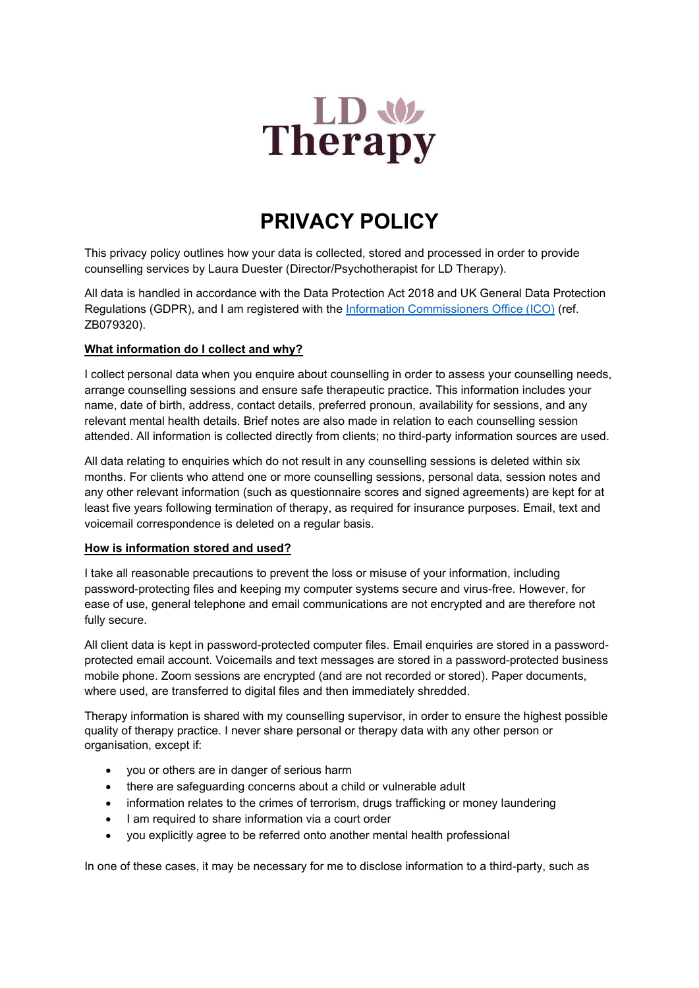

# PRIVACY POLICY

This privacy policy outlines how your data is collected, stored and processed in order to provide counselling services by Laura Duester (Director/Psychotherapist for LD Therapy).

All data is handled in accordance with the Data Protection Act 2018 and UK General Data Protection Regulations (GDPR), and I am registered with the Information Commissioners Office (ICO) (ref. ZB079320).

## What information do I collect and why?

I collect personal data when you enquire about counselling in order to assess your counselling needs, arrange counselling sessions and ensure safe therapeutic practice. This information includes your name, date of birth, address, contact details, preferred pronoun, availability for sessions, and any relevant mental health details. Brief notes are also made in relation to each counselling session attended. All information is collected directly from clients; no third-party information sources are used.

All data relating to enquiries which do not result in any counselling sessions is deleted within six months. For clients who attend one or more counselling sessions, personal data, session notes and any other relevant information (such as questionnaire scores and signed agreements) are kept for at least five years following termination of therapy, as required for insurance purposes. Email, text and voicemail correspondence is deleted on a regular basis.

## How is information stored and used?

I take all reasonable precautions to prevent the loss or misuse of your information, including password-protecting files and keeping my computer systems secure and virus-free. However, for ease of use, general telephone and email communications are not encrypted and are therefore not fully secure.

All client data is kept in password-protected computer files. Email enquiries are stored in a passwordprotected email account. Voicemails and text messages are stored in a password-protected business mobile phone. Zoom sessions are encrypted (and are not recorded or stored). Paper documents, where used, are transferred to digital files and then immediately shredded.

Therapy information is shared with my counselling supervisor, in order to ensure the highest possible quality of therapy practice. I never share personal or therapy data with any other person or organisation, except if:

- you or others are in danger of serious harm
- there are safeguarding concerns about a child or vulnerable adult
- information relates to the crimes of terrorism, drugs trafficking or money laundering
- I am required to share information via a court order
- you explicitly agree to be referred onto another mental health professional

In one of these cases, it may be necessary for me to disclose information to a third-party, such as